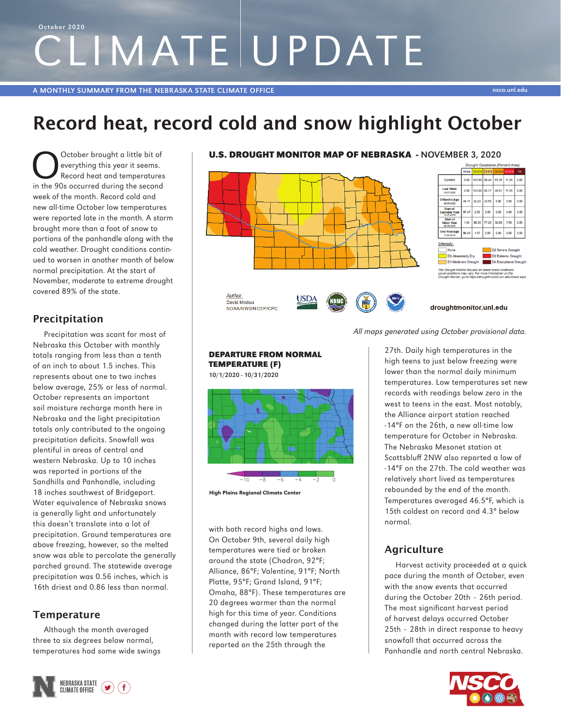# CLIMATE UPDATE October 2020

# Record heat, record cold and snow highlight October

October brought a little bit of<br>everything this year it seems.<br>Record heat and temperatures<br>in the 90s occurred during the second everything this year it seems. Record heat and temperatures in the 90s occurred during the second week of the month. Record cold and new all-time October low temperatures were reported late in the month. A storm brought more than a foot of snow to portions of the panhandle along with the cold weather. Drought conditions continued to worsen in another month of below normal precipitation. At the start of November, moderate to extreme drought covered 89% of the state.

## Precitpitation

Precipitation was scant for most of Nebraska this October with monthly totals ranging from less than a tenth of an inch to about 1.5 inches. This represents about one to two inches below average, 25% or less of normal. October represents an important soil moisture recharge month here in Nebraska and the light precipitation totals only contributed to the ongoing precipitation deficits. Snowfall was plentiful in areas of central and western Nebraska. Up to 10 inches was reported in portions of the Sandhills and Panhandle, including 18 inches southwest of Bridgeport. Water equivalence of Nebraska snows is generally light and unfortunately this doesn't translate into a lot of precipitation. Ground temperatures are above freezing, however, so the melted snow was able to percolate the generally parched ground. The statewide average precipitation was 0.56 inches, which is 16th driest and 0.86 less than normal.

### **Temperature**

Although the month averaged three to six degrees below normal, temperatures had some wide swings







All maps generated using October provisional data.

27th. Daily high temperatures in the high teens to just below freezing were lower than the normal daily minimum temperatures. Low temperatures set new records with readings below zero in the west to teens in the east. Most notably, the Alliance airport station reached -14°F on the 26th, a new all-time low temperature for October in Nebraska. The Nebraska Mesonet station at Scottsbluff 2NW also reported a low of -14°F on the 27th. The cold weather was relatively short lived as temperatures rebounded by the end of the month. Temperatures averaged 46.5°F, which is 15th coldest on record and 4.3° below normal.

# **Agriculture**

Harvest activity proceeded at a quick pace during the month of October, even with the snow events that occurred during the October 20th – 26th period. The most significant harvest period of harvest delays occurred October 25th – 28th in direct response to heavy snowfall that occurred across the Panhandle and north central Nebraska.





10/1/2020 - 10/31/2020



High Plains Regional Climate Center

with both record highs and lows. On October 9th, several daily high temperatures were tied or broken around the state (Chadron, 92°F; Alliance, 86°F; Valentine, 91°F; North Platte, 95°F; Grand Island, 91°F; Omaha, 88°F). These temperatures are 20 degrees warmer than the normal high for this time of year. Conditions changed during the latter part of the month with record low temperatures reported on the 25th through the